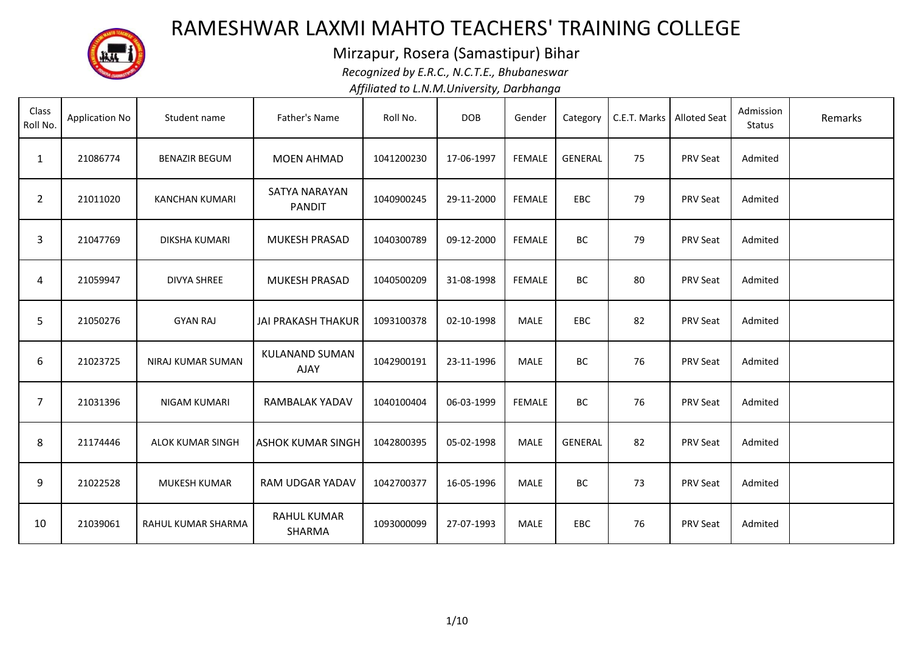

Mirzapur, Rosera (Samastipur) Bihar

*Recognized by E.R.C., N.C.T.E., Bhubaneswar*

| Class<br>Roll No. | <b>Application No</b> | Student name            | Father's Name                        | Roll No.   | <b>DOB</b> | Gender        | Category       | C.E.T. Marks   Alloted Seat |                 | Admission<br>Status | Remarks |
|-------------------|-----------------------|-------------------------|--------------------------------------|------------|------------|---------------|----------------|-----------------------------|-----------------|---------------------|---------|
| $\mathbf{1}$      | 21086774              | <b>BENAZIR BEGUM</b>    | <b>MOEN AHMAD</b>                    | 1041200230 | 17-06-1997 | <b>FEMALE</b> | <b>GENERAL</b> | 75                          | <b>PRV Seat</b> | Admited             |         |
| $\overline{2}$    | 21011020              | <b>KANCHAN KUMARI</b>   | SATYA NARAYAN<br><b>PANDIT</b>       | 1040900245 | 29-11-2000 | <b>FEMALE</b> | <b>EBC</b>     | 79                          | <b>PRV Seat</b> | Admited             |         |
| 3                 | 21047769              | DIKSHA KUMARI           | MUKESH PRASAD                        | 1040300789 | 09-12-2000 | <b>FEMALE</b> | BC             | 79                          | PRV Seat        | Admited             |         |
| 4                 | 21059947              | <b>DIVYA SHREE</b>      | MUKESH PRASAD                        | 1040500209 | 31-08-1998 | <b>FEMALE</b> | BC             | 80                          | <b>PRV Seat</b> | Admited             |         |
| 5                 | 21050276              | <b>GYAN RAJ</b>         | <b>JAI PRAKASH THAKUR</b>            | 1093100378 | 02-10-1998 | <b>MALE</b>   | EBC            | 82                          | <b>PRV Seat</b> | Admited             |         |
| 6                 | 21023725              | NIRAJ KUMAR SUMAN       | <b>KULANAND SUMAN</b><br><b>AJAY</b> | 1042900191 | 23-11-1996 | <b>MALE</b>   | BC             | 76                          | <b>PRV Seat</b> | Admited             |         |
| $\overline{7}$    | 21031396              | NIGAM KUMARI            | <b>RAMBALAK YADAV</b>                | 1040100404 | 06-03-1999 | <b>FEMALE</b> | BC             | 76                          | <b>PRV Seat</b> | Admited             |         |
| 8                 | 21174446              | <b>ALOK KUMAR SINGH</b> | <b>ASHOK KUMAR SINGH</b>             | 1042800395 | 05-02-1998 | <b>MALE</b>   | <b>GENERAL</b> | 82                          | <b>PRV Seat</b> | Admited             |         |
| 9                 | 21022528              | MUKESH KUMAR            | RAM UDGAR YADAV                      | 1042700377 | 16-05-1996 | <b>MALE</b>   | BC             | 73                          | PRV Seat        | Admited             |         |
| 10                | 21039061              | RAHUL KUMAR SHARMA      | <b>RAHUL KUMAR</b><br>SHARMA         | 1093000099 | 27-07-1993 | MALE          | EBC            | 76                          | <b>PRV Seat</b> | Admited             |         |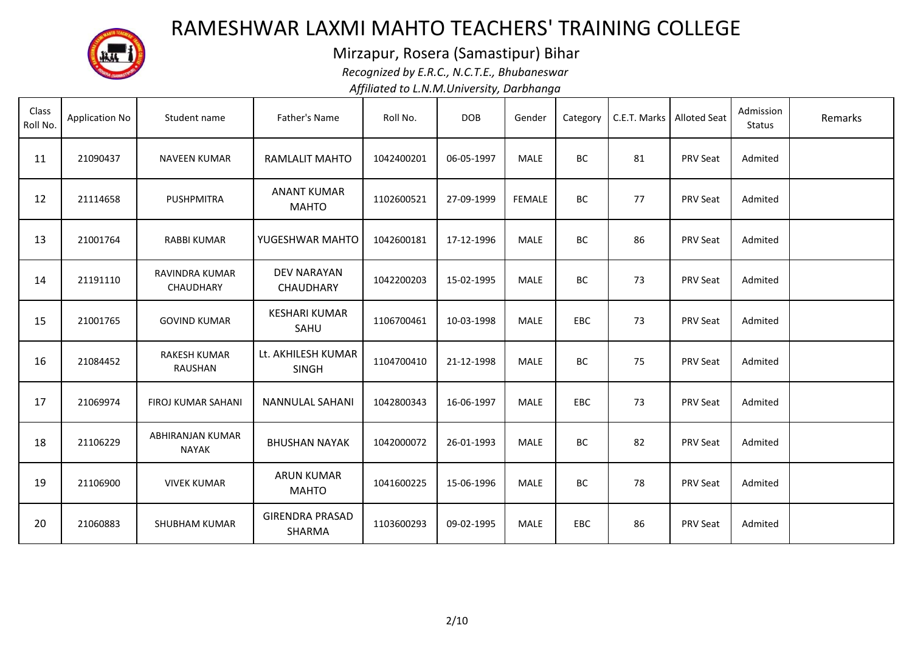

Mirzapur, Rosera (Samastipur) Bihar

*Recognized by E.R.C., N.C.T.E., Bhubaneswar*

| Class<br>Roll No. | <b>Application No</b> | Student name                          | Father's Name                      | Roll No.   | <b>DOB</b> | Gender        | Category   | C.E.T. Marks   Alloted Seat |                 | Admission<br>Status | Remarks |
|-------------------|-----------------------|---------------------------------------|------------------------------------|------------|------------|---------------|------------|-----------------------------|-----------------|---------------------|---------|
| 11                | 21090437              | <b>NAVEEN KUMAR</b>                   | RAMLALIT MAHTO                     | 1042400201 | 06-05-1997 | <b>MALE</b>   | BC         | 81                          | <b>PRV Seat</b> | Admited             |         |
| 12                | 21114658              | <b>PUSHPMITRA</b>                     | <b>ANANT KUMAR</b><br><b>MAHTO</b> | 1102600521 | 27-09-1999 | <b>FEMALE</b> | BC         | 77                          | PRV Seat        | Admited             |         |
| 13                | 21001764              | <b>RABBI KUMAR</b>                    | YUGESHWAR MAHTO                    | 1042600181 | 17-12-1996 | <b>MALE</b>   | BC         | 86                          | PRV Seat        | Admited             |         |
| 14                | 21191110              | RAVINDRA KUMAR<br>CHAUDHARY           | DEV NARAYAN<br>CHAUDHARY           | 1042200203 | 15-02-1995 | <b>MALE</b>   | BC         | 73                          | <b>PRV Seat</b> | Admited             |         |
| 15                | 21001765              | <b>GOVIND KUMAR</b>                   | <b>KESHARI KUMAR</b><br>SAHU       | 1106700461 | 10-03-1998 | <b>MALE</b>   | <b>EBC</b> | 73                          | PRV Seat        | Admited             |         |
| 16                | 21084452              | <b>RAKESH KUMAR</b><br><b>RAUSHAN</b> | Lt. AKHILESH KUMAR<br><b>SINGH</b> | 1104700410 | 21-12-1998 | <b>MALE</b>   | ВC         | 75                          | PRV Seat        | Admited             |         |
| 17                | 21069974              | <b>FIROJ KUMAR SAHANI</b>             | <b>NANNULAL SAHANI</b>             | 1042800343 | 16-06-1997 | <b>MALE</b>   | <b>EBC</b> | 73                          | PRV Seat        | Admited             |         |
| 18                | 21106229              | ABHIRANJAN KUMAR<br><b>NAYAK</b>      | <b>BHUSHAN NAYAK</b>               | 1042000072 | 26-01-1993 | <b>MALE</b>   | BC         | 82                          | <b>PRV Seat</b> | Admited             |         |
| 19                | 21106900              | <b>VIVEK KUMAR</b>                    | <b>ARUN KUMAR</b><br><b>MAHTO</b>  | 1041600225 | 15-06-1996 | <b>MALE</b>   | BC         | 78                          | PRV Seat        | Admited             |         |
| 20                | 21060883              | SHUBHAM KUMAR                         | <b>GIRENDRA PRASAD</b><br>SHARMA   | 1103600293 | 09-02-1995 | <b>MALE</b>   | EBC        | 86                          | PRV Seat        | Admited             |         |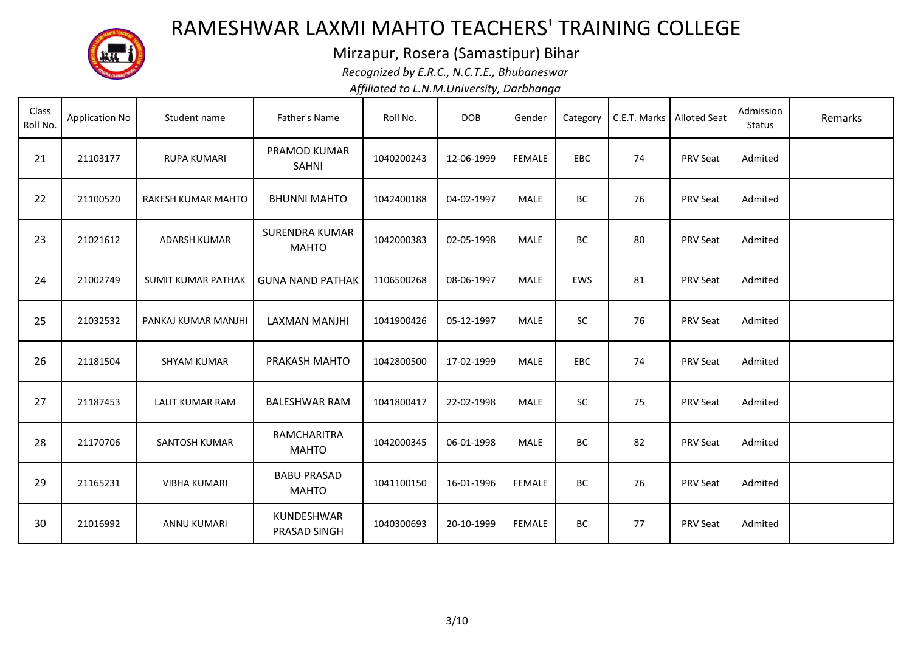

Mirzapur, Rosera (Samastipur) Bihar

*Recognized by E.R.C., N.C.T.E., Bhubaneswar*

| Class<br>Roll No. | <b>Application No</b> | Student name              | Father's Name                         | Roll No.   | <b>DOB</b> | Gender        | Category   | C.E.T. Marks   Alloted Seat |                 | Admission<br>Status | Remarks |
|-------------------|-----------------------|---------------------------|---------------------------------------|------------|------------|---------------|------------|-----------------------------|-----------------|---------------------|---------|
| 21                | 21103177              | <b>RUPA KUMARI</b>        | PRAMOD KUMAR<br><b>SAHNI</b>          | 1040200243 | 12-06-1999 | <b>FEMALE</b> | <b>EBC</b> | 74                          | <b>PRV Seat</b> | Admited             |         |
| 22                | 21100520              | <b>RAKESH KUMAR MAHTO</b> | <b>BHUNNI MAHTO</b>                   | 1042400188 | 04-02-1997 | <b>MALE</b>   | BC         | 76                          | PRV Seat        | Admited             |         |
| 23                | 21021612              | <b>ADARSH KUMAR</b>       | <b>SURENDRA KUMAR</b><br><b>MAHTO</b> | 1042000383 | 02-05-1998 | <b>MALE</b>   | BC         | 80                          | PRV Seat        | Admited             |         |
| 24                | 21002749              | <b>SUMIT KUMAR PATHAK</b> | <b>GUNA NAND PATHAK</b>               | 1106500268 | 08-06-1997 | <b>MALE</b>   | EWS        | 81                          | PRV Seat        | Admited             |         |
| 25                | 21032532              | PANKAJ KUMAR MANJHI       | LAXMAN MANJHI                         | 1041900426 | 05-12-1997 | <b>MALE</b>   | SC         | 76                          | PRV Seat        | Admited             |         |
| 26                | 21181504              | <b>SHYAM KUMAR</b>        | PRAKASH MAHTO                         | 1042800500 | 17-02-1999 | <b>MALE</b>   | <b>EBC</b> | 74                          | PRV Seat        | Admited             |         |
| 27                | 21187453              | <b>LALIT KUMAR RAM</b>    | <b>BALESHWAR RAM</b>                  | 1041800417 | 22-02-1998 | <b>MALE</b>   | SC         | 75                          | PRV Seat        | Admited             |         |
| 28                | 21170706              | <b>SANTOSH KUMAR</b>      | <b>RAMCHARITRA</b><br><b>MAHTO</b>    | 1042000345 | 06-01-1998 | <b>MALE</b>   | BC         | 82                          | <b>PRV Seat</b> | Admited             |         |
| 29                | 21165231              | <b>VIBHA KUMARI</b>       | <b>BABU PRASAD</b><br><b>MAHTO</b>    | 1041100150 | 16-01-1996 | <b>FEMALE</b> | BC         | 76                          | PRV Seat        | Admited             |         |
| 30                | 21016992              | ANNU KUMARI               | KUNDESHWAR<br>PRASAD SINGH            | 1040300693 | 20-10-1999 | <b>FEMALE</b> | BC         | 77                          | PRV Seat        | Admited             |         |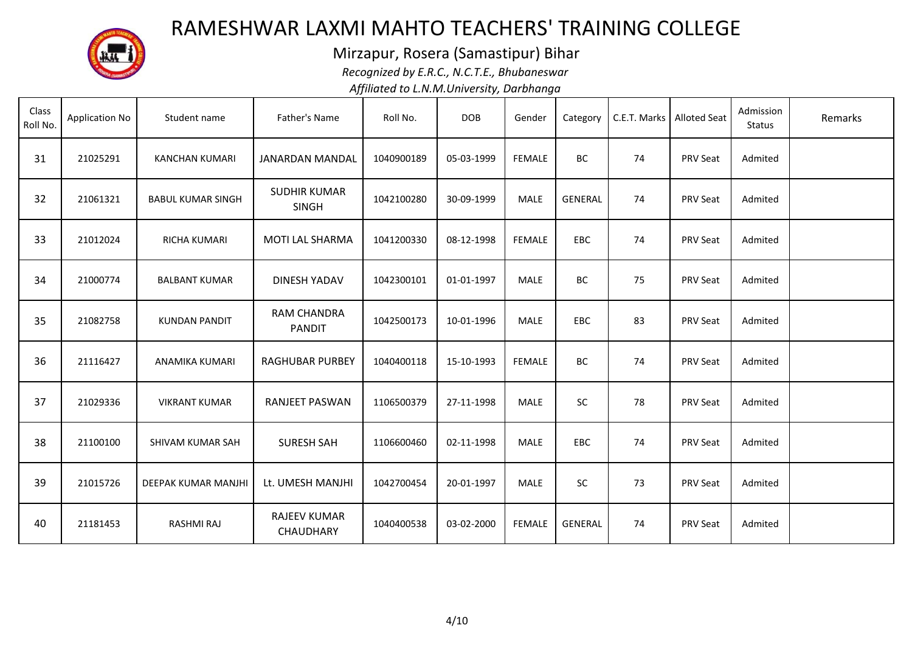

Mirzapur, Rosera (Samastipur) Bihar

*Recognized by E.R.C., N.C.T.E., Bhubaneswar*

| Class<br>Roll No. | <b>Application No</b> | Student name             | Father's Name                       | Roll No.   | <b>DOB</b> | Gender        | Category       | C.E.T. Marks   Alloted Seat |                 | Admission<br>Status | Remarks |
|-------------------|-----------------------|--------------------------|-------------------------------------|------------|------------|---------------|----------------|-----------------------------|-----------------|---------------------|---------|
| 31                | 21025291              | <b>KANCHAN KUMARI</b>    | <b>JANARDAN MANDAL</b>              | 1040900189 | 05-03-1999 | <b>FEMALE</b> | BC             | 74                          | <b>PRV Seat</b> | Admited             |         |
| 32                | 21061321              | <b>BABUL KUMAR SINGH</b> | <b>SUDHIR KUMAR</b><br><b>SINGH</b> | 1042100280 | 30-09-1999 | <b>MALE</b>   | <b>GENERAL</b> | 74                          | <b>PRV Seat</b> | Admited             |         |
| 33                | 21012024              | RICHA KUMARI             | <b>MOTI LAL SHARMA</b>              | 1041200330 | 08-12-1998 | <b>FEMALE</b> | EBC            | 74                          | PRV Seat        | Admited             |         |
| 34                | 21000774              | <b>BALBANT KUMAR</b>     | DINESH YADAV                        | 1042300101 | 01-01-1997 | <b>MALE</b>   | BC             | 75                          | <b>PRV Seat</b> | Admited             |         |
| 35                | 21082758              | <b>KUNDAN PANDIT</b>     | <b>RAM CHANDRA</b><br><b>PANDIT</b> | 1042500173 | 10-01-1996 | <b>MALE</b>   | EBC            | 83                          | <b>PRV Seat</b> | Admited             |         |
| 36                | 21116427              | ANAMIKA KUMARI           | <b>RAGHUBAR PURBEY</b>              | 1040400118 | 15-10-1993 | <b>FEMALE</b> | BC             | 74                          | PRV Seat        | Admited             |         |
| 37                | 21029336              | <b>VIKRANT KUMAR</b>     | <b>RANJEET PASWAN</b>               | 1106500379 | 27-11-1998 | <b>MALE</b>   | SC             | 78                          | <b>PRV Seat</b> | Admited             |         |
| 38                | 21100100              | SHIVAM KUMAR SAH         | <b>SURESH SAH</b>                   | 1106600460 | 02-11-1998 | <b>MALE</b>   | <b>EBC</b>     | 74                          | <b>PRV Seat</b> | Admited             |         |
| 39                | 21015726              | DEEPAK KUMAR MANJHI      | Lt. UMESH MANJHI                    | 1042700454 | 20-01-1997 | <b>MALE</b>   | <b>SC</b>      | 73                          | PRV Seat        | Admited             |         |
| 40                | 21181453              | RASHMI RAJ               | <b>RAJEEV KUMAR</b><br>CHAUDHARY    | 1040400538 | 03-02-2000 | <b>FEMALE</b> | <b>GENERAL</b> | 74                          | <b>PRV Seat</b> | Admited             |         |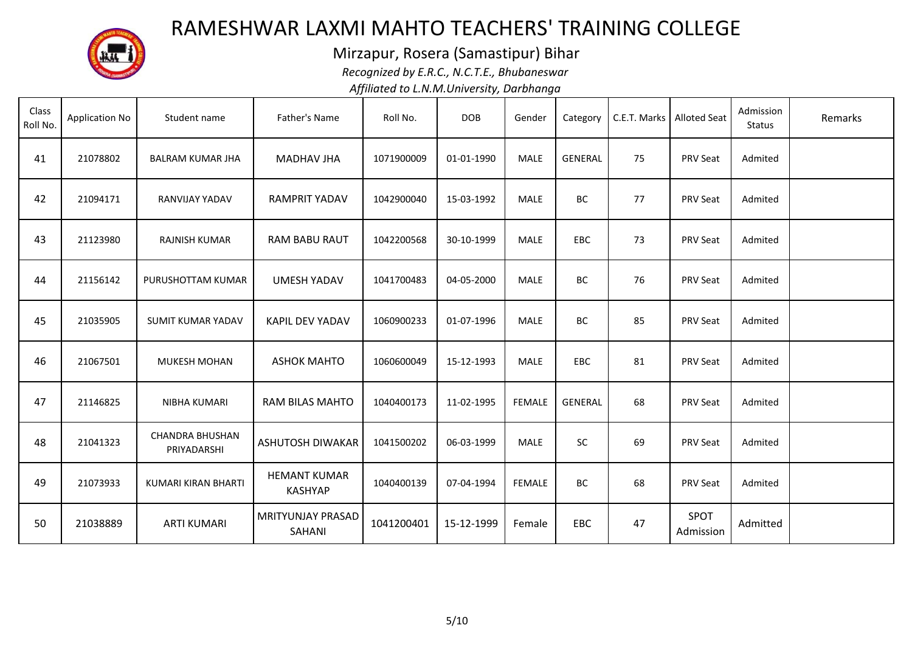

Mirzapur, Rosera (Samastipur) Bihar

*Recognized by E.R.C., N.C.T.E., Bhubaneswar*

| Class<br>Roll No. | <b>Application No</b> | Student name                          | Father's Name                         | Roll No.   | <b>DOB</b> | Gender        | Category       |    | C.E.T. Marks   Alloted Seat | Admission<br>Status | Remarks |
|-------------------|-----------------------|---------------------------------------|---------------------------------------|------------|------------|---------------|----------------|----|-----------------------------|---------------------|---------|
| 41                | 21078802              | <b>BALRAM KUMAR JHA</b>               | <b>MADHAV JHA</b>                     | 1071900009 | 01-01-1990 | <b>MALE</b>   | <b>GENERAL</b> | 75 | PRV Seat                    | Admited             |         |
| 42                | 21094171              | RANVIJAY YADAV                        | <b>RAMPRIT YADAV</b>                  | 1042900040 | 15-03-1992 | <b>MALE</b>   | BC             | 77 | PRV Seat                    | Admited             |         |
| 43                | 21123980              | <b>RAJNISH KUMAR</b>                  | <b>RAM BABU RAUT</b>                  | 1042200568 | 30-10-1999 | <b>MALE</b>   | <b>EBC</b>     | 73 | PRV Seat                    | Admited             |         |
| 44                | 21156142              | PURUSHOTTAM KUMAR                     | <b>UMESH YADAV</b>                    | 1041700483 | 04-05-2000 | <b>MALE</b>   | BC             | 76 | <b>PRV Seat</b>             | Admited             |         |
| 45                | 21035905              | <b>SUMIT KUMAR YADAV</b>              | KAPIL DEV YADAV                       | 1060900233 | 01-07-1996 | <b>MALE</b>   | BC             | 85 | PRV Seat                    | Admited             |         |
| 46                | 21067501              | <b>MUKESH MOHAN</b>                   | <b>ASHOK MAHTO</b>                    | 1060600049 | 15-12-1993 | <b>MALE</b>   | <b>EBC</b>     | 81 | PRV Seat                    | Admited             |         |
| 47                | 21146825              | NIBHA KUMARI                          | RAM BILAS MAHTO                       | 1040400173 | 11-02-1995 | <b>FEMALE</b> | <b>GENERAL</b> | 68 | PRV Seat                    | Admited             |         |
| 48                | 21041323              | <b>CHANDRA BHUSHAN</b><br>PRIYADARSHI | ASHUTOSH DIWAKAR                      | 1041500202 | 06-03-1999 | <b>MALE</b>   | <b>SC</b>      | 69 | PRV Seat                    | Admited             |         |
| 49                | 21073933              | KUMARI KIRAN BHARTI                   | <b>HEMANT KUMAR</b><br><b>KASHYAP</b> | 1040400139 | 07-04-1994 | <b>FEMALE</b> | BC             | 68 | PRV Seat                    | Admited             |         |
| 50                | 21038889              | <b>ARTI KUMARI</b>                    | <b>MRITYUNJAY PRASAD</b><br>SAHANI    | 1041200401 | 15-12-1999 | Female        | EBC            | 47 | SPOT<br>Admission           | Admitted            |         |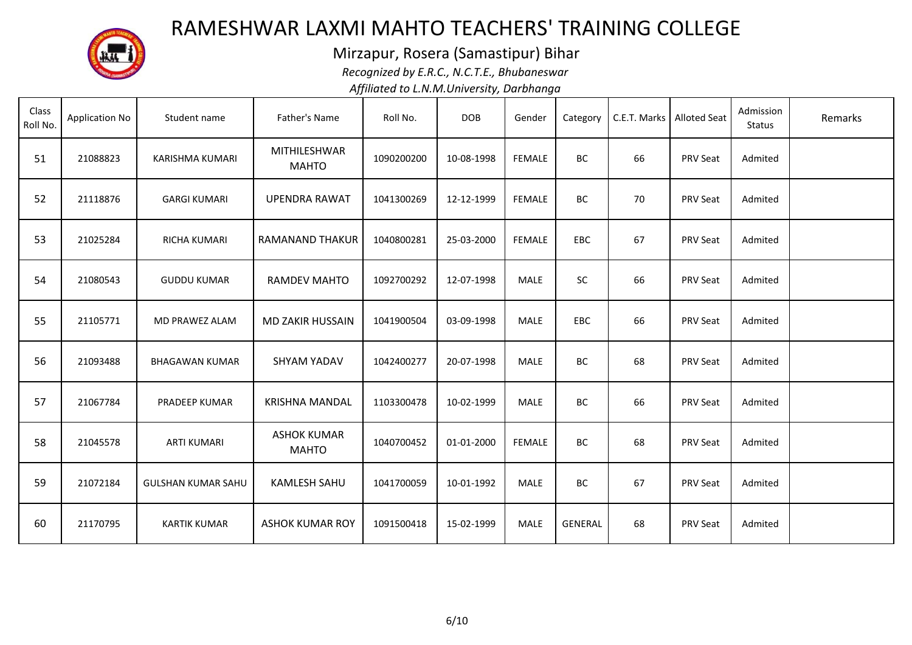

Mirzapur, Rosera (Samastipur) Bihar

*Recognized by E.R.C., N.C.T.E., Bhubaneswar*

| Class<br>Roll No. | <b>Application No</b> | Student name              | Father's Name                       | Roll No.   | <b>DOB</b> | Gender        | Category       | C.E.T. Marks   Alloted Seat |                 | Admission<br>Status | Remarks |
|-------------------|-----------------------|---------------------------|-------------------------------------|------------|------------|---------------|----------------|-----------------------------|-----------------|---------------------|---------|
| 51                | 21088823              | KARISHMA KUMARI           | <b>MITHILESHWAR</b><br><b>MAHTO</b> | 1090200200 | 10-08-1998 | <b>FEMALE</b> | BC             | 66                          | PRV Seat        | Admited             |         |
| 52                | 21118876              | <b>GARGI KUMARI</b>       | <b>UPENDRA RAWAT</b>                | 1041300269 | 12-12-1999 | <b>FEMALE</b> | BC             | 70                          | PRV Seat        | Admited             |         |
| 53                | 21025284              | RICHA KUMARI              | <b>RAMANAND THAKUR</b>              | 1040800281 | 25-03-2000 | <b>FEMALE</b> | <b>EBC</b>     | 67                          | PRV Seat        | Admited             |         |
| 54                | 21080543              | <b>GUDDU KUMAR</b>        | RAMDEV MAHTO                        | 1092700292 | 12-07-1998 | <b>MALE</b>   | SC             | 66                          | <b>PRV Seat</b> | Admited             |         |
| 55                | 21105771              | MD PRAWEZ ALAM            | <b>MD ZAKIR HUSSAIN</b>             | 1041900504 | 03-09-1998 | <b>MALE</b>   | <b>EBC</b>     | 66                          | PRV Seat        | Admited             |         |
| 56                | 21093488              | <b>BHAGAWAN KUMAR</b>     | <b>SHYAM YADAV</b>                  | 1042400277 | 20-07-1998 | <b>MALE</b>   | BC             | 68                          | PRV Seat        | Admited             |         |
| 57                | 21067784              | PRADEEP KUMAR             | <b>KRISHNA MANDAL</b>               | 1103300478 | 10-02-1999 | <b>MALE</b>   | BC             | 66                          | PRV Seat        | Admited             |         |
| 58                | 21045578              | <b>ARTI KUMARI</b>        | <b>ASHOK KUMAR</b><br><b>MAHTO</b>  | 1040700452 | 01-01-2000 | <b>FEMALE</b> | BC             | 68                          | PRV Seat        | Admited             |         |
| 59                | 21072184              | <b>GULSHAN KUMAR SAHU</b> | <b>KAMLESH SAHU</b>                 | 1041700059 | 10-01-1992 | <b>MALE</b>   | BC             | 67                          | PRV Seat        | Admited             |         |
| 60                | 21170795              | <b>KARTIK KUMAR</b>       | <b>ASHOK KUMAR ROY</b>              | 1091500418 | 15-02-1999 | <b>MALE</b>   | <b>GENERAL</b> | 68                          | PRV Seat        | Admited             |         |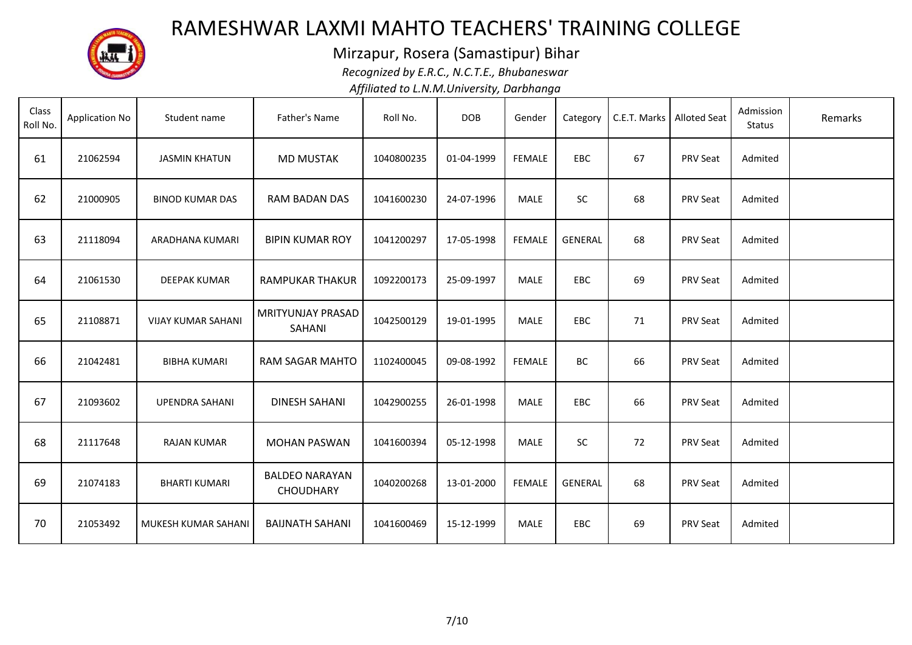

Mirzapur, Rosera (Samastipur) Bihar

*Recognized by E.R.C., N.C.T.E., Bhubaneswar*

| Class<br>Roll No. | <b>Application No</b> | Student name              | Father's Name                             | Roll No.   | <b>DOB</b> | Gender        | Category       |    | C.E.T. Marks   Alloted Seat | Admission<br>Status | Remarks |
|-------------------|-----------------------|---------------------------|-------------------------------------------|------------|------------|---------------|----------------|----|-----------------------------|---------------------|---------|
| 61                | 21062594              | <b>JASMIN KHATUN</b>      | <b>MD MUSTAK</b>                          | 1040800235 | 01-04-1999 | <b>FEMALE</b> | <b>EBC</b>     | 67 | PRV Seat                    | Admited             |         |
| 62                | 21000905              | <b>BINOD KUMAR DAS</b>    | <b>RAM BADAN DAS</b>                      | 1041600230 | 24-07-1996 | <b>MALE</b>   | SC             | 68 | PRV Seat                    | Admited             |         |
| 63                | 21118094              | ARADHANA KUMARI           | <b>BIPIN KUMAR ROY</b>                    | 1041200297 | 17-05-1998 | <b>FEMALE</b> | <b>GENERAL</b> | 68 | PRV Seat                    | Admited             |         |
| 64                | 21061530              | <b>DEEPAK KUMAR</b>       | <b>RAMPUKAR THAKUR</b>                    | 1092200173 | 25-09-1997 | <b>MALE</b>   | EBC            | 69 | PRV Seat                    | Admited             |         |
| 65                | 21108871              | <b>VIJAY KUMAR SAHANI</b> | MRITYUNJAY PRASAD<br>SAHANI               | 1042500129 | 19-01-1995 | <b>MALE</b>   | EBC            | 71 | PRV Seat                    | Admited             |         |
| 66                | 21042481              | <b>BIBHA KUMARI</b>       | <b>RAM SAGAR MAHTO</b>                    | 1102400045 | 09-08-1992 | <b>FEMALE</b> | BC             | 66 | PRV Seat                    | Admited             |         |
| 67                | 21093602              | <b>UPENDRA SAHANI</b>     | <b>DINESH SAHANI</b>                      | 1042900255 | 26-01-1998 | <b>MALE</b>   | EBC            | 66 | <b>PRV Seat</b>             | Admited             |         |
| 68                | 21117648              | <b>RAJAN KUMAR</b>        | <b>MOHAN PASWAN</b>                       | 1041600394 | 05-12-1998 | <b>MALE</b>   | SC             | 72 | PRV Seat                    | Admited             |         |
| 69                | 21074183              | <b>BHARTI KUMARI</b>      | <b>BALDEO NARAYAN</b><br><b>CHOUDHARY</b> | 1040200268 | 13-01-2000 | <b>FEMALE</b> | <b>GENERAL</b> | 68 | PRV Seat                    | Admited             |         |
| 70                | 21053492              | MUKESH KUMAR SAHANI       | <b>BAIJNATH SAHANI</b>                    | 1041600469 | 15-12-1999 | <b>MALE</b>   | EBC            | 69 | PRV Seat                    | Admited             |         |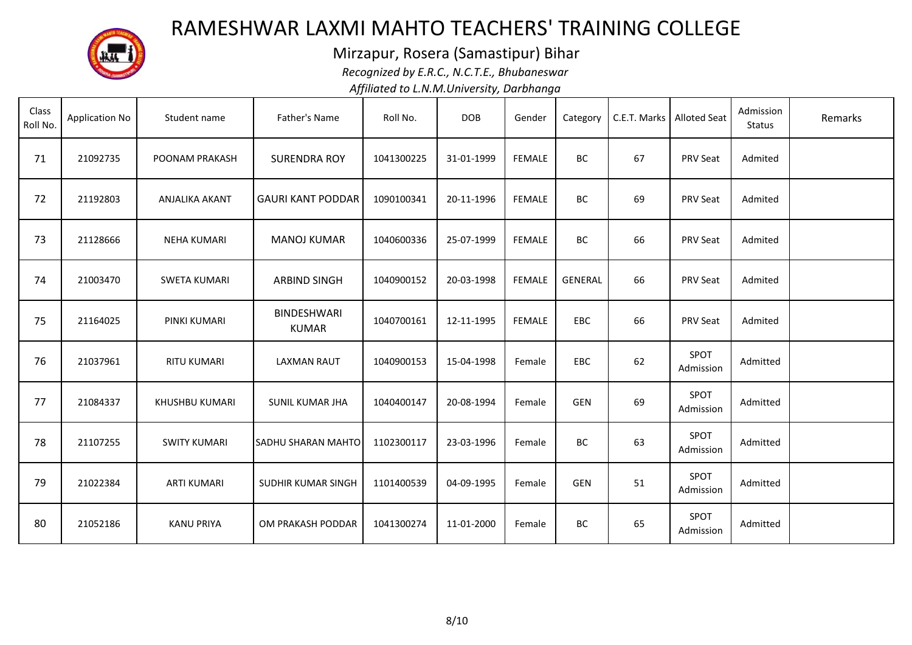

Mirzapur, Rosera (Samastipur) Bihar

*Recognized by E.R.C., N.C.T.E., Bhubaneswar*

| Class<br>Roll No. | <b>Application No</b> | Student name        | Father's Name                      | Roll No.   | <b>DOB</b> | Gender        | Category   | C.E.T. Marks   Alloted Seat |                   | Admission<br><b>Status</b> | Remarks |
|-------------------|-----------------------|---------------------|------------------------------------|------------|------------|---------------|------------|-----------------------------|-------------------|----------------------------|---------|
| 71                | 21092735              | POONAM PRAKASH      | <b>SURENDRA ROY</b>                | 1041300225 | 31-01-1999 | <b>FEMALE</b> | BC         | 67                          | <b>PRV Seat</b>   | Admited                    |         |
| 72                | 21192803              | ANJALIKA AKANT      | <b>GAURI KANT PODDAR</b>           | 1090100341 | 20-11-1996 | <b>FEMALE</b> | BC         | 69                          | PRV Seat          | Admited                    |         |
| 73                | 21128666              | <b>NEHA KUMARI</b>  | <b>MANOJ KUMAR</b>                 | 1040600336 | 25-07-1999 | <b>FEMALE</b> | BC         | 66                          | PRV Seat          | Admited                    |         |
| 74                | 21003470              | <b>SWETA KUMARI</b> | <b>ARBIND SINGH</b>                | 1040900152 | 20-03-1998 | <b>FEMALE</b> | GENERAL    | 66                          | PRV Seat          | Admited                    |         |
| 75                | 21164025              | PINKI KUMARI        | <b>BINDESHWARI</b><br><b>KUMAR</b> | 1040700161 | 12-11-1995 | <b>FEMALE</b> | <b>EBC</b> | 66                          | PRV Seat          | Admited                    |         |
| 76                | 21037961              | RITU KUMARI         | <b>LAXMAN RAUT</b>                 | 1040900153 | 15-04-1998 | Female        | EBC        | 62                          | SPOT<br>Admission | Admitted                   |         |
| 77                | 21084337              | KHUSHBU KUMARI      | <b>SUNIL KUMAR JHA</b>             | 1040400147 | 20-08-1994 | Female        | <b>GEN</b> | 69                          | SPOT<br>Admission | Admitted                   |         |
| 78                | 21107255              | <b>SWITY KUMARI</b> | <b>SADHU SHARAN MAHTO</b>          | 1102300117 | 23-03-1996 | Female        | BC         | 63                          | SPOT<br>Admission | Admitted                   |         |
| 79                | 21022384              | <b>ARTI KUMARI</b>  | SUDHIR KUMAR SINGH                 | 1101400539 | 04-09-1995 | Female        | <b>GEN</b> | 51                          | SPOT<br>Admission | Admitted                   |         |
| 80                | 21052186              | <b>KANU PRIYA</b>   | OM PRAKASH PODDAR                  | 1041300274 | 11-01-2000 | Female        | ВC         | 65                          | SPOT<br>Admission | Admitted                   |         |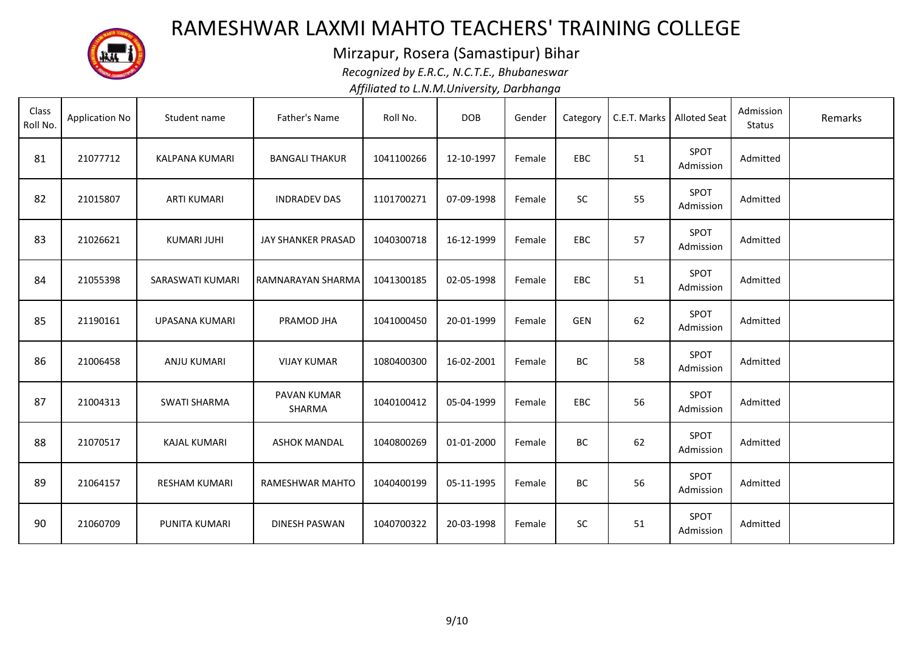

Mirzapur, Rosera (Samastipur) Bihar

*Recognized by E.R.C., N.C.T.E., Bhubaneswar*

| Class<br>Roll No. | <b>Application No</b> | Student name         | Father's Name          | Roll No.   | <b>DOB</b> | Gender | Category   | C.E.T. Marks   Alloted Seat |                   | Admission<br><b>Status</b> | Remarks |
|-------------------|-----------------------|----------------------|------------------------|------------|------------|--------|------------|-----------------------------|-------------------|----------------------------|---------|
| 81                | 21077712              | KALPANA KUMARI       | <b>BANGALI THAKUR</b>  | 1041100266 | 12-10-1997 | Female | EBC        | 51                          | SPOT<br>Admission | Admitted                   |         |
| 82                | 21015807              | <b>ARTI KUMARI</b>   | <b>INDRADEV DAS</b>    | 1101700271 | 07-09-1998 | Female | SC         | 55                          | SPOT<br>Admission | Admitted                   |         |
| 83                | 21026621              | KUMARI JUHI          | JAY SHANKER PRASAD     | 1040300718 | 16-12-1999 | Female | EBC        | 57                          | SPOT<br>Admission | Admitted                   |         |
| 84                | 21055398              | SARASWATI KUMARI     | RAMNARAYAN SHARMA      | 1041300185 | 02-05-1998 | Female | EBC        | 51                          | SPOT<br>Admission | Admitted                   |         |
| 85                | 21190161              | UPASANA KUMARI       | PRAMOD JHA             | 1041000450 | 20-01-1999 | Female | GEN        | 62                          | SPOT<br>Admission | Admitted                   |         |
| 86                | 21006458              | ANJU KUMARI          | <b>VIJAY KUMAR</b>     | 1080400300 | 16-02-2001 | Female | BC         | 58                          | SPOT<br>Admission | Admitted                   |         |
| 87                | 21004313              | <b>SWATI SHARMA</b>  | PAVAN KUMAR<br>SHARMA  | 1040100412 | 05-04-1999 | Female | <b>EBC</b> | 56                          | SPOT<br>Admission | Admitted                   |         |
| 88                | 21070517              | <b>KAJAL KUMARI</b>  | <b>ASHOK MANDAL</b>    | 1040800269 | 01-01-2000 | Female | BC         | 62                          | SPOT<br>Admission | Admitted                   |         |
| 89                | 21064157              | <b>RESHAM KUMARI</b> | <b>RAMESHWAR MAHTO</b> | 1040400199 | 05-11-1995 | Female | BC         | 56                          | SPOT<br>Admission | Admitted                   |         |
| 90                | 21060709              | PUNITA KUMARI        | <b>DINESH PASWAN</b>   | 1040700322 | 20-03-1998 | Female | SC         | 51                          | SPOT<br>Admission | Admitted                   |         |